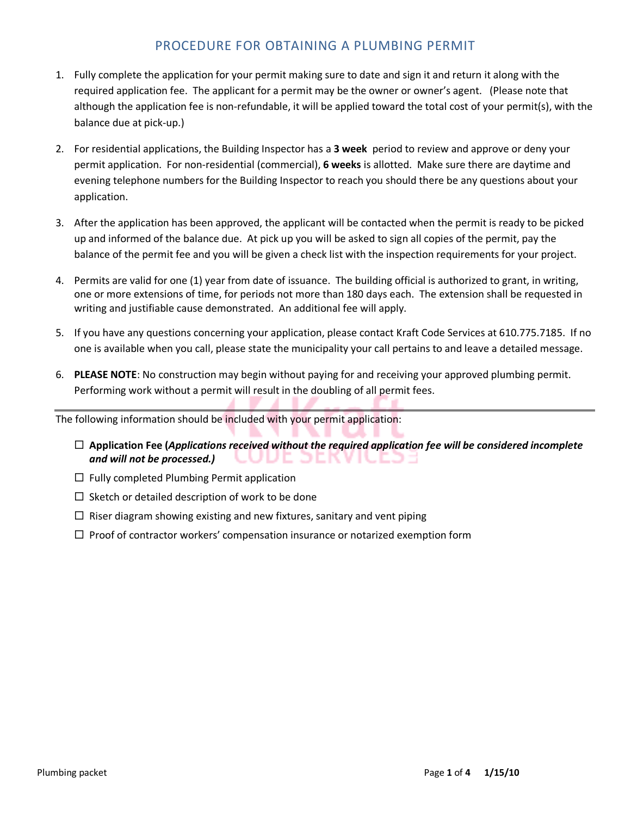## PROCEDURE FOR OBTAINING A PLUMBING PERMIT

- 1. Fully complete the application for your permit making sure to date and sign it and return it along with the required application fee. The applicant for a permit may be the owner or owner's agent. (Please note that although the application fee is non-refundable, it will be applied toward the total cost of your permit(s), with the balance due at pick-up.)
- 2. For residential applications, the Building Inspector has a **3 week** period to review and approve or deny your permit application. For non-residential (commercial), **6 weeks** is allotted. Make sure there are daytime and evening telephone numbers for the Building Inspector to reach you should there be any questions about your application.
- 3. After the application has been approved, the applicant will be contacted when the permit is ready to be picked up and informed of the balance due. At pick up you will be asked to sign all copies of the permit, pay the balance of the permit fee and you will be given a check list with the inspection requirements for your project.
- 4. Permits are valid for one (1) year from date of issuance. The building official is authorized to grant, in writing, one or more extensions of time, for periods not more than 180 days each. The extension shall be requested in writing and justifiable cause demonstrated. An additional fee will apply.
- 5. If you have any questions concerning your application, please contact Kraft Code Services at 610.775.7185. If no one is available when you call, please state the municipality your call pertains to and leave a detailed message.
- 6. **PLEASE NOTE**: No construction may begin without paying for and receiving your approved plumbing permit. Performing work without a permit will result in the doubling of all permit fees.

The following information should be included with your permit application:

- **Application Fee (***Applications received without the required application fee will be considered incomplete and will not be processed.)*  ЭE LJ E.
- $\Box$  Fully completed Plumbing Permit application
- $\square$  Sketch or detailed description of work to be done
- $\Box$  Riser diagram showing existing and new fixtures, sanitary and vent piping
- $\Box$  Proof of contractor workers' compensation insurance or notarized exemption form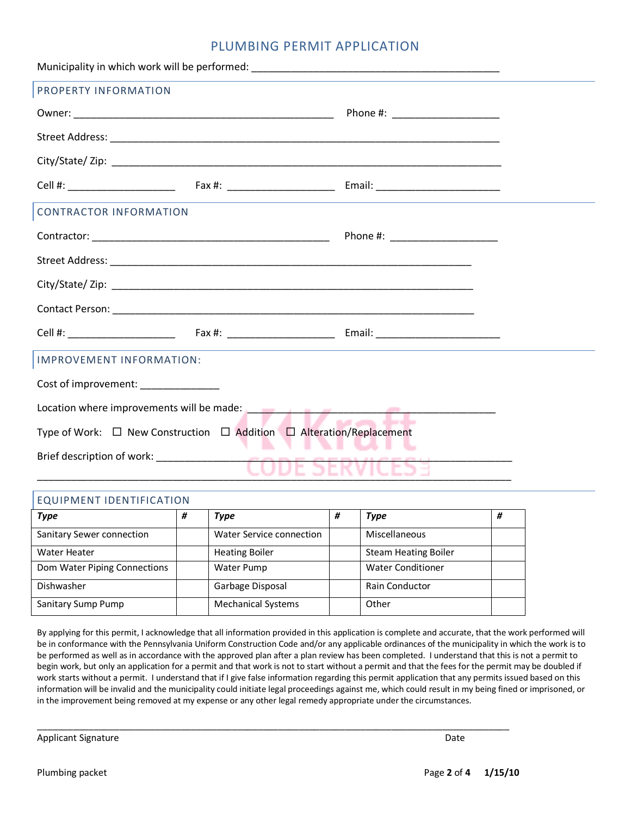### PLUMBING PERMIT APPLICATION

| IMPROVEMENT INFORMATION:                                                                                                                                                                                                            |  |  |  |  |  |  |
|-------------------------------------------------------------------------------------------------------------------------------------------------------------------------------------------------------------------------------------|--|--|--|--|--|--|
| Cost of improvement: ________________                                                                                                                                                                                               |  |  |  |  |  |  |
| Location where improvements will be made: <b>Fig. 1.1 Fig. 1.1 Fig. 1.1</b> Fig. 2.1 Fig. 2.1 Fig. 2.1 Fig. 2.1 Fig. 2.1 Fig. 2.1 Fig. 2.1 Fig. 2.1 Fig. 2.1 Fig. 2.1 Fig. 2.1 Fig. 2.1 Fig. 2.1 Fig. 2.1 Fig. 2.1 Fig. 2.1 Fig. 2. |  |  |  |  |  |  |
| Type of Work: □ New Construction □ Addition □ Alteration/Replacement<br>.                                                                                                                                                           |  |  |  |  |  |  |
|                                                                                                                                                                                                                                     |  |  |  |  |  |  |
|                                                                                                                                                                                                                                     |  |  |  |  |  |  |

### EQUIPMENT IDENTIFICATION

| Type                         | # | Type                      | # | Type                        | Ħ |
|------------------------------|---|---------------------------|---|-----------------------------|---|
| Sanitary Sewer connection    |   | Water Service connection  |   | Miscellaneous               |   |
| Water Heater                 |   | <b>Heating Boiler</b>     |   | <b>Steam Heating Boiler</b> |   |
| Dom Water Piping Connections |   | Water Pump                |   | <b>Water Conditioner</b>    |   |
| Dishwasher                   |   | Garbage Disposal          |   | <b>Rain Conductor</b>       |   |
| Sanitary Sump Pump           |   | <b>Mechanical Systems</b> |   | Other                       |   |

\_\_\_\_\_\_\_\_\_\_\_\_\_\_\_\_\_\_\_\_\_\_\_\_\_\_\_\_\_\_\_\_\_\_\_\_\_\_\_\_\_\_\_\_\_\_\_\_\_\_\_\_\_\_\_\_\_\_\_\_\_\_\_\_\_\_\_\_\_\_\_\_\_\_\_\_\_\_\_\_\_\_\_\_\_\_\_\_\_\_\_\_

By applying for this permit, I acknowledge that all information provided in this application is complete and accurate, that the work performed will be in conformance with the Pennsylvania Uniform Construction Code and/or any applicable ordinances of the municipality in which the work is to be performed as well as in accordance with the approved plan after a plan review has been completed. I understand that this is not a permit to begin work, but only an application for a permit and that work is not to start without a permit and that the fees for the permit may be doubled if work starts without a permit. I understand that if I give false information regarding this permit application that any permits issued based on this information will be invalid and the municipality could initiate legal proceedings against me, which could result in my being fined or imprisoned, or in the improvement being removed at my expense or any other legal remedy appropriate under the circumstances.

Applicant Signature Date of the Date of the Date of the Date of the Date of the Date of the Date of the Date of the Date of the Date of the Date of the Date of the Date of the Date of the Date of the Date of the Date of th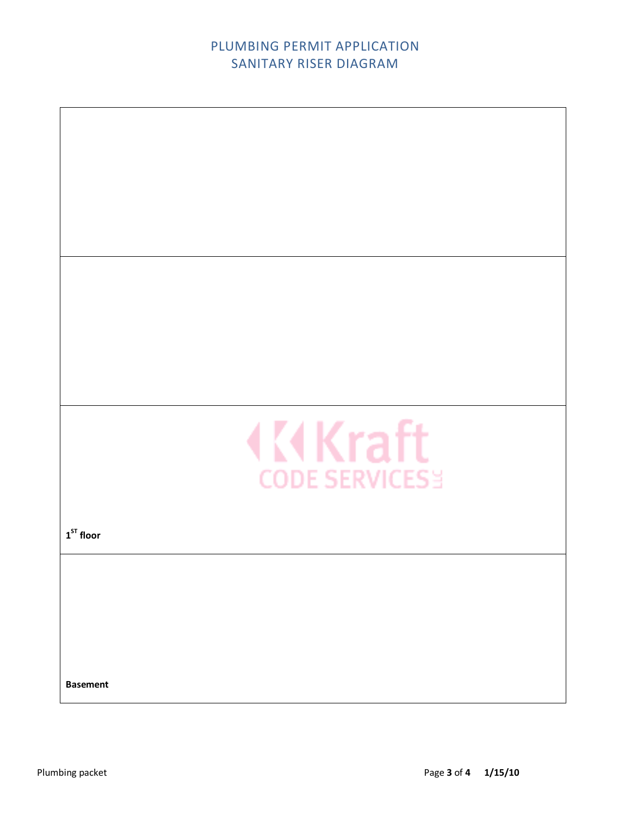# PLUMBING PERMIT APPLICATION SANITARY RISER DIAGRAM